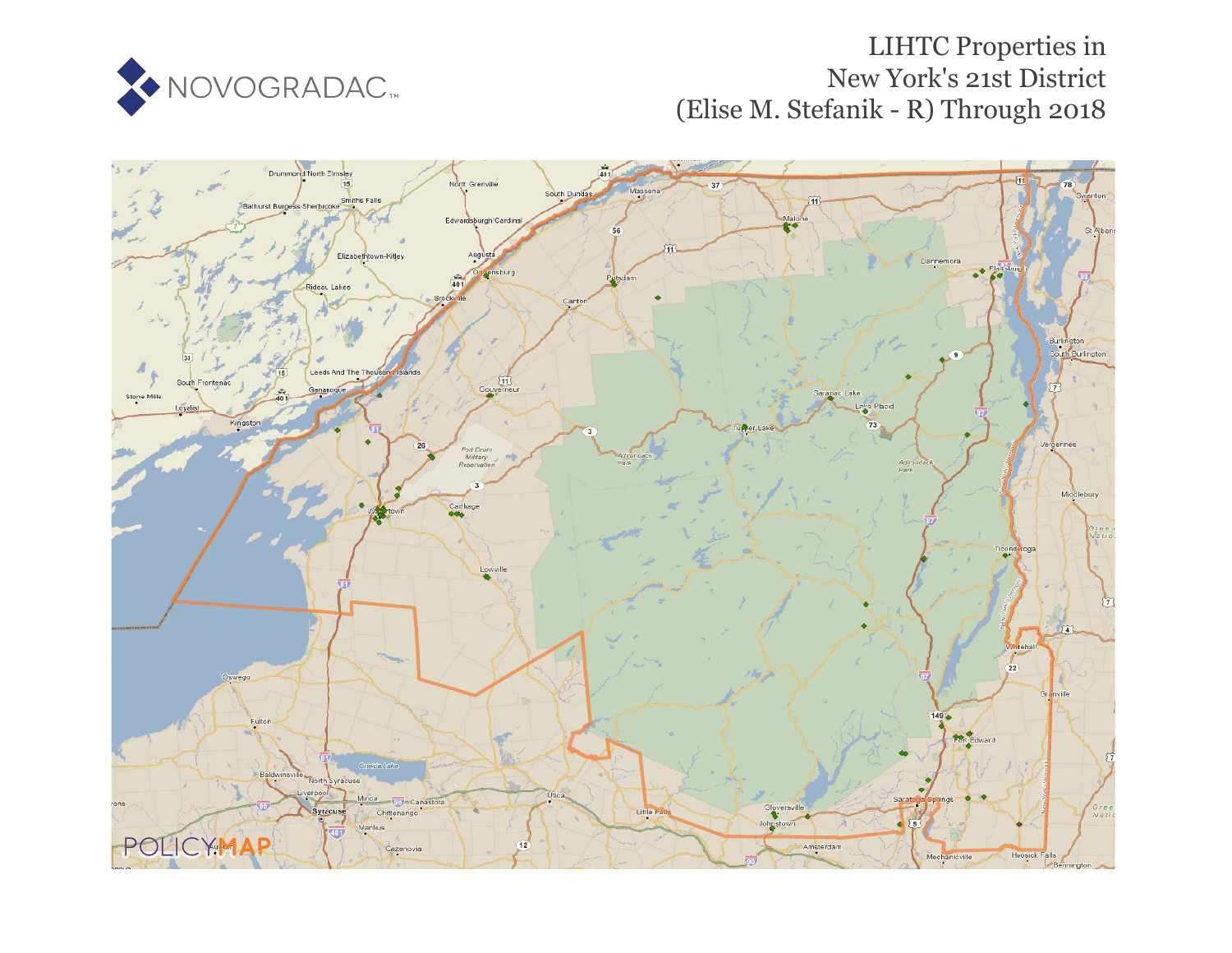

# LIHTC Properties in New York's 21st District (Elise M. Stefanik - R) Through 2018

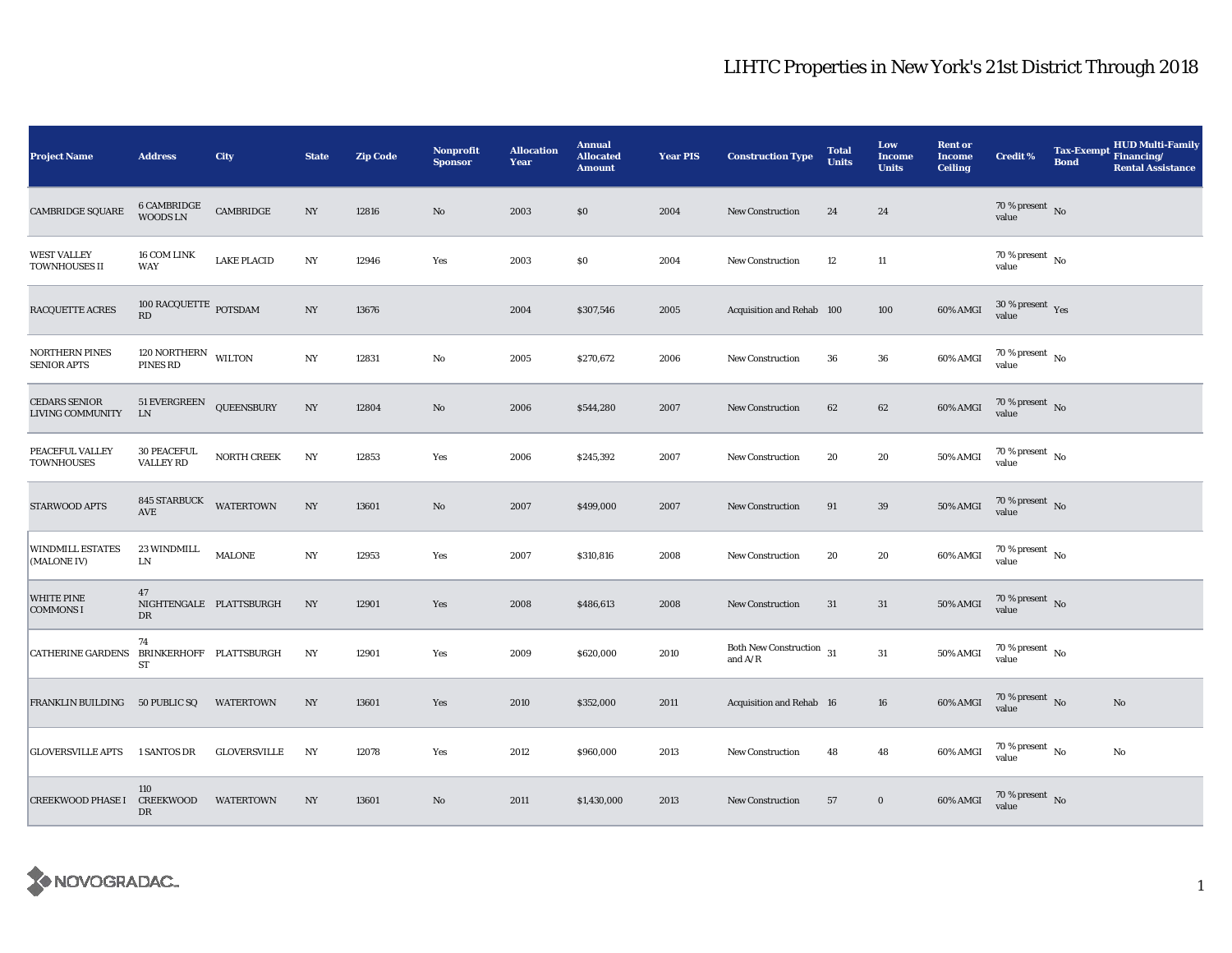| <b>Project Name</b>                         | <b>Address</b>                              | <b>City</b>         | <b>State</b>     | <b>Zip Code</b> | Nonprofit<br><b>Sponsor</b> | <b>Allocation</b><br>Year | <b>Annual</b><br><b>Allocated</b><br><b>Amount</b> | <b>Year PIS</b> | <b>Construction Type</b>                                     | <b>Total</b><br><b>Units</b> | Low<br><b>Income</b><br><b>Units</b> | <b>Rent or</b><br><b>Income</b><br><b>Ceiling</b> | <b>Credit %</b>                        | <b>Tax-Exempt</b><br><b>Bond</b> | <b>HUD Multi-Family</b><br>Financing/<br><b>Rental Assistance</b> |
|---------------------------------------------|---------------------------------------------|---------------------|------------------|-----------------|-----------------------------|---------------------------|----------------------------------------------------|-----------------|--------------------------------------------------------------|------------------------------|--------------------------------------|---------------------------------------------------|----------------------------------------|----------------------------------|-------------------------------------------------------------------|
| <b>CAMBRIDGE SQUARE</b>                     | 6 CAMBRIDGE<br><b>WOODSLN</b>               | CAMBRIDGE           | $_{\mathrm{NY}}$ | 12816           | $\rm No$                    | 2003                      | \$0                                                | 2004            | New Construction                                             | 24                           | ${\bf 24}$                           |                                                   | $70\,\%$ present $${\rm No}$$ value    |                                  |                                                                   |
| <b>WEST VALLEY</b><br>TOWNHOUSES II         | 16 COM LINK<br>WAY                          | <b>LAKE PLACID</b>  | $_{\mathrm{NY}}$ | 12946           | Yes                         | 2003                      | \$0                                                | 2004            | New Construction                                             | 12                           | 11                                   |                                                   | $70\,\%$ present $\,$ No $\,$<br>value |                                  |                                                                   |
| RACQUETTE ACRES                             | $100$ RACQUETTE $_{\rm POTSDAM}$<br>RD      |                     | NY               | 13676           |                             | 2004                      | \$307,546                                          | 2005            | Acquisition and Rehab 100                                    |                              | 100                                  | 60% AMGI                                          | $30\,\%$ present $\,$ Yes value        |                                  |                                                                   |
| <b>NORTHERN PINES</b><br><b>SENIOR APTS</b> | 120 NORTHERN WILTON<br>PINES RD             |                     | NY               | 12831           | No                          | 2005                      | \$270,672                                          | 2006            | <b>New Construction</b>                                      | 36                           | 36                                   | 60% AMGI                                          | 70 % present $\hbox{~No}$<br>value     |                                  |                                                                   |
| <b>CEDARS SENIOR</b><br>LIVING COMMUNITY    | 51 EVERGREEN<br>${\rm LN}$                  | <b>QUEENSBURY</b>   | $_{\mathrm{NY}}$ | 12804           | $\rm No$                    | 2006                      | \$544,280                                          | 2007            | New Construction                                             | 62                           | $62\,$                               | 60% AMGI                                          | $70\%$ present No<br>value             |                                  |                                                                   |
| PEACEFUL VALLEY<br><b>TOWNHOUSES</b>        | <b>30 PEACEFUL</b><br><b>VALLEY RD</b>      | NORTH CREEK         | $_{\mathrm{NY}}$ | 12853           | Yes                         | 2006                      | \$245,392                                          | 2007            | <b>New Construction</b>                                      | 20                           | 20                                   | 50% AMGI                                          | $70\,\%$ present $\,$ No value         |                                  |                                                                   |
| STARWOOD APTS                               | <b>845 STARBUCK</b><br>$\operatorname{AVE}$ | <b>WATERTOWN</b>    | $_{\mathrm{NY}}$ | 13601           | $\mathbf{N}\mathbf{o}$      | 2007                      | \$499,000                                          | 2007            | <b>New Construction</b>                                      | 91                           | $39\,$                               | <b>50% AMGI</b>                                   | $70$ % present $\,$ No value           |                                  |                                                                   |
| <b>WINDMILL ESTATES</b><br>(MALONE IV)      | 23 WINDMILL<br>LN                           | MALONE              | $_{\mathrm{NY}}$ | 12953           | Yes                         | 2007                      | \$310,816                                          | 2008            | <b>New Construction</b>                                      | 20                           | 20                                   | 60% AMGI                                          | $70$ % present $\,$ No value           |                                  |                                                                   |
| <b>WHITE PINE</b><br><b>COMMONS I</b>       | 47<br>NIGHTENGALE PLATTSBURGH<br>DR         |                     | NY               | 12901           | Yes                         | 2008                      | \$486,613                                          | 2008            | <b>New Construction</b>                                      | 31                           | 31                                   | <b>50% AMGI</b>                                   | 70 % present $\hbox{~No}$<br>value     |                                  |                                                                   |
| CATHERINE GARDENS BRINKERHOFF PLATTSBURGH   | 74<br>ST                                    |                     | NY               | 12901           | Yes                         | 2009                      | \$620,000                                          | 2010            | Both New Construction $\,$ 31<br>and $\mathrm{A}/\mathrm{R}$ |                              | 31                                   | 50% AMGI                                          | $70$ % present $\,$ No $\,$<br>value   |                                  |                                                                   |
| FRANKLIN BUILDING                           | 50 PUBLIC SQ                                | <b>WATERTOWN</b>    | $_{\mathrm{NY}}$ | 13601           | Yes                         | 2010                      | \$352,000                                          | 2011            | Acquisition and Rehab 16                                     |                              | 16                                   | 60% AMGI                                          | 70 % present $\hbox{~No}$<br>value     |                                  | $\mathbf{No}$                                                     |
| <b>GLOVERSVILLE APTS</b>                    | 1 SANTOS DR                                 | <b>GLOVERSVILLE</b> | NY               | 12078           | Yes                         | 2012                      | \$960,000                                          | 2013            | New Construction                                             | 48                           | 48                                   | 60% AMGI                                          | $70\,\%$ present $\,$ No value         |                                  | No                                                                |
| CREEKWOOD PHASE I CREEKWOOD                 | 110<br>DR                                   | <b>WATERTOWN</b>    | NY               | 13601           | $\rm No$                    | 2011                      | \$1,430,000                                        | 2013            | <b>New Construction</b>                                      | 57                           | $\mathbf 0$                          | 60% AMGI                                          | $70\,\%$ present $\,$ No value         |                                  |                                                                   |

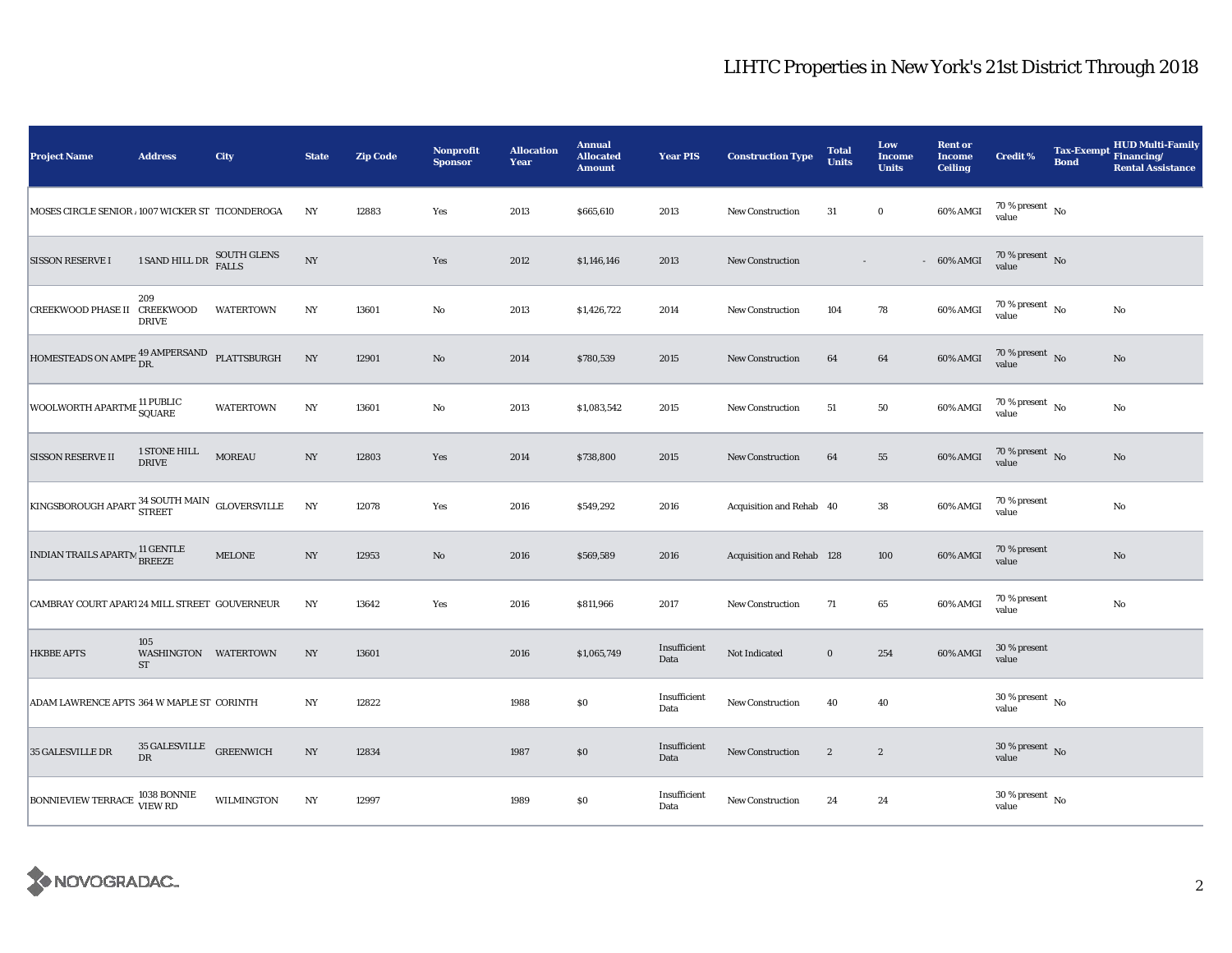| <b>Project Name</b>                                                                                  | <b>Address</b>                            | <b>City</b>       | <b>State</b>     | <b>Zip Code</b> | <b>Nonprofit</b><br><b>Sponsor</b> | <b>Allocation</b><br>Year | <b>Annual</b><br><b>Allocated</b><br><b>Amount</b> | <b>Year PIS</b>      | <b>Construction Type</b>  | <b>Total</b><br><b>Units</b> | Low<br><b>Income</b><br><b>Units</b> | <b>Rent or</b><br><b>Income</b><br><b>Ceiling</b> | <b>Credit %</b>                      | <b>Bond</b> | <b>HUD Multi-Family</b><br>Tax-Exempt Financing/<br><b>Rental Assistance</b> |
|------------------------------------------------------------------------------------------------------|-------------------------------------------|-------------------|------------------|-----------------|------------------------------------|---------------------------|----------------------------------------------------|----------------------|---------------------------|------------------------------|--------------------------------------|---------------------------------------------------|--------------------------------------|-------------|------------------------------------------------------------------------------|
| MOSES CIRCLE SENIOR 1007 WICKER ST TICONDEROGA                                                       |                                           |                   | NY               | 12883           | Yes                                | 2013                      | \$665,610                                          | 2013                 | <b>New Construction</b>   | 31                           | $\bf{0}$                             | 60% AMGI                                          | $70\,\%$ present $\,$ No value       |             |                                                                              |
| <b>SISSON RESERVE I</b>                                                                              | 1 SAND HILL DR SOUTH GLENS                |                   | $_{\mathrm{NY}}$ |                 | Yes                                | 2012                      | \$1,146,146                                        | 2013                 | New Construction          |                              |                                      | $-60\%$ AMGI                                      | $70\%$ present No<br>value           |             |                                                                              |
| CREEKWOOD PHASE II CREEKWOOD                                                                         | 209<br><b>DRIVE</b>                       | <b>WATERTOWN</b>  | N <sub>Y</sub>   | 13601           | $\rm No$                           | 2013                      | \$1,426,722                                        | 2014                 | <b>New Construction</b>   | 104                          | 78                                   | 60% AMGI                                          | 70 % present $\hbox{~No}$<br>value   |             | No                                                                           |
| HOMESTEADS ON AMPE $_{\text{DR.}}^{49\text{ AMPERSAND}}$ PLATTSBURGH                                 |                                           |                   | $_{\mathrm{NY}}$ | 12901           | $\rm No$                           | 2014                      | \$780,539                                          | 2015                 | New Construction          | 64                           | 64                                   | 60% AMGI                                          | 70 % present $\,$ No $\,$<br>value   |             | No                                                                           |
| WOOLWORTH APARTME 11 PUBLIC<br>SQUARE                                                                |                                           | <b>WATERTOWN</b>  | $_{\mathrm{NY}}$ | 13601           | No                                 | 2013                      | \$1,083,542                                        | 2015                 | <b>New Construction</b>   | 51                           | 50                                   | 60% AMGI                                          | 70 % present $\hbox{~No}$<br>value   |             | No                                                                           |
| <b>SISSON RESERVE II</b>                                                                             | 1 STONE HILL<br>DRIVE                     | <b>MOREAU</b>     | $_{\mathrm{NY}}$ | 12803           | Yes                                | 2014                      | \$738,800                                          | 2015                 | <b>New Construction</b>   | 64                           | 55                                   | 60% AMGI                                          | $70\,\%$ present $$$ No value        |             | $\mathbf{No}$                                                                |
| $\boxed{\texttt{KINGSBOROUGH} \texttt{APART}}^\texttt{34 SOUTH}\texttt{MAIN}} \texttt{GLOVERSVILLE}$ |                                           |                   | NY               | 12078           | Yes                                | 2016                      | \$549,292                                          | 2016                 | Acquisition and Rehab 40  |                              | 38                                   | 60% AMGI                                          | 70 % present<br>value                |             | $\rm No$                                                                     |
| INDIAN TRAILS APARTM <sup>11</sup> GENTLE                                                            |                                           | <b>MELONE</b>     | NY               | 12953           | No                                 | 2016                      | \$569,589                                          | 2016                 | Acquisition and Rehab 128 |                              | 100                                  | 60% AMGI                                          | 70 % present<br>value                |             | No                                                                           |
| CAMBRAY COURT APAR124 MILL STREET GOUVERNEUR                                                         |                                           |                   | NY               | 13642           | Yes                                | 2016                      | \$811,966                                          | 2017                 | New Construction          | 71                           | 65                                   | 60% AMGI                                          | 70 % present<br>value                |             | $\rm No$                                                                     |
| <b>HKBBE APTS</b>                                                                                    | 105<br>WASHINGTON WATERTOWN<br>${\rm ST}$ |                   | $_{\mathrm{NY}}$ | 13601           |                                    | 2016                      | \$1,065,749                                        | Insufficient<br>Data | Not Indicated             | $\bf{0}$                     | 254                                  | 60% AMGI                                          | 30 % present<br>value                |             |                                                                              |
| ADAM LAWRENCE APTS 364 W MAPLE ST CORINTH                                                            |                                           |                   | NY               | 12822           |                                    | 1988                      | \$0                                                | Insufficient<br>Data | <b>New Construction</b>   | 40                           | 40                                   |                                                   | $30$ % present $\,$ No $\,$<br>value |             |                                                                              |
| 35 GALESVILLE DR                                                                                     | $35\,\mbox{GALESVILLE}\,$ GREENWICH DR    |                   | $_{\mathrm{NY}}$ | 12834           |                                    | 1987                      | \$0                                                | Insufficient<br>Data | New Construction          | $\boldsymbol{2}$             | $\boldsymbol{2}$                     |                                                   | $30$ % present $\,$ No $\,$<br>value |             |                                                                              |
| BONNIEVIEW TERRACE 1038 BONNIE                                                                       |                                           | <b>WILMINGTON</b> | $_{\mathrm{NY}}$ | 12997           |                                    | 1989                      | \$0                                                | Insufficient<br>Data | <b>New Construction</b>   | 24                           | 24                                   |                                                   | 30 % present $\,$ No $\,$<br>value   |             |                                                                              |

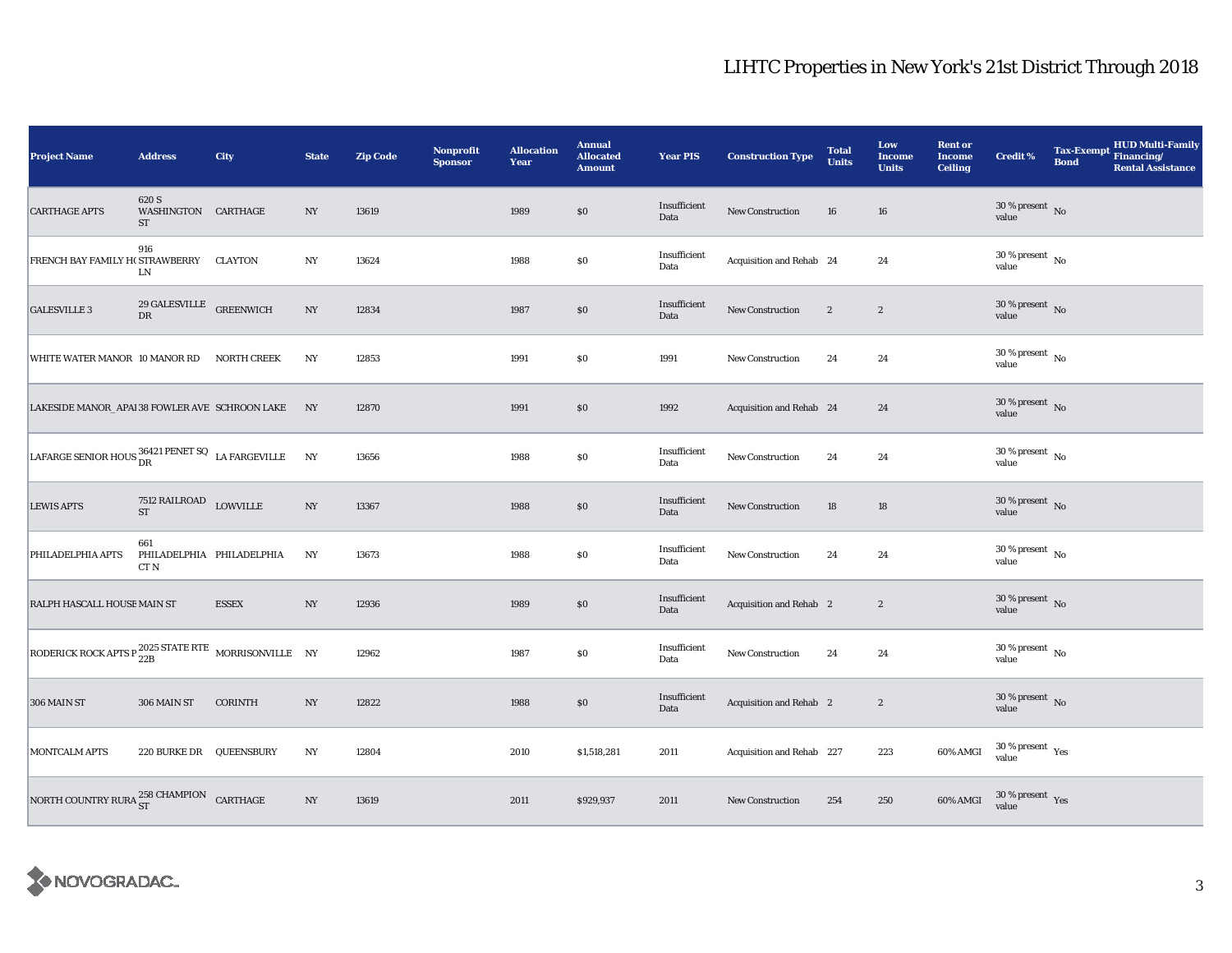| <b>Project Name</b>                                             | <b>Address</b>                                 | City                      | <b>State</b>     | <b>Zip Code</b> | Nonprofit<br><b>Sponsor</b> | <b>Allocation</b><br>Year | <b>Annual</b><br><b>Allocated</b><br><b>Amount</b> | <b>Year PIS</b>      | <b>Construction Type</b>  | <b>Total</b><br><b>Units</b> | Low<br><b>Income</b><br><b>Units</b> | <b>Rent or</b><br>Income<br><b>Ceiling</b> | <b>Credit %</b>                        | <b>Tax-Exempt</b><br><b>Bond</b> | <b>HUD Multi-Family</b><br>Financing/<br><b>Rental Assistance</b> |
|-----------------------------------------------------------------|------------------------------------------------|---------------------------|------------------|-----------------|-----------------------------|---------------------------|----------------------------------------------------|----------------------|---------------------------|------------------------------|--------------------------------------|--------------------------------------------|----------------------------------------|----------------------------------|-------------------------------------------------------------------|
| <b>CARTHAGE APTS</b>                                            | 620 S<br>WASHINGTON CARTHAGE<br>ST             |                           | NY               | 13619           |                             | 1989                      | $\$0$                                              | Insufficient<br>Data | <b>New Construction</b>   | 16                           | 16                                   |                                            | $30\,\%$ present $\,$ No value         |                                  |                                                                   |
| FRENCH BAY FAMILY H( STRAWBERRY CLAYTON                         | 916<br>LN                                      |                           | NY               | 13624           |                             | 1988                      | $\$0$                                              | Insufficient<br>Data | Acquisition and Rehab 24  |                              | 24                                   |                                            | $30\,\%$ present $\,$ No $\,$<br>value |                                  |                                                                   |
| <b>GALESVILLE 3</b>                                             | $29$ GALESVILLE $\quad$ GREENWICH<br><b>DR</b> |                           | NY               | 12834           |                             | 1987                      | \$0                                                | Insufficient<br>Data | New Construction          | $\boldsymbol{2}$             | $\boldsymbol{2}$                     |                                            | $30\,\%$ present $\,$ No value         |                                  |                                                                   |
| WHITE WATER MANOR 10 MANOR RD                                   |                                                | <b>NORTH CREEK</b>        | NY               | 12853           |                             | 1991                      | $\$0$                                              | 1991                 | <b>New Construction</b>   | 24                           | 24                                   |                                            | $30$ % present $\,$ No $\,$<br>value   |                                  |                                                                   |
| LAKESIDE MANOR_APAI 38 FOWLER AVE SCHROON LAKE NY               |                                                |                           |                  | 12870           |                             | 1991                      | \$0                                                | 1992                 | Acquisition and Rehab 24  |                              | 24                                   |                                            | $30\,\%$ present $\,$ No value         |                                  |                                                                   |
| LAFARGE SENIOR HOUS $^{36421}_{DR}$ PENET SQ LA FARGEVILLE NY   |                                                |                           |                  | 13656           |                             | 1988                      | $\$0$                                              | Insufficient<br>Data | New Construction          | 24                           | 24                                   |                                            | $30\,\%$ present $\,$ No $\,$<br>value |                                  |                                                                   |
| <b>LEWIS APTS</b>                                               | 7512 RAILROAD LOWVILLE<br><b>ST</b>            |                           | $_{\mathrm{NY}}$ | 13367           |                             | 1988                      | $\$0$                                              | Insufficient<br>Data | <b>New Construction</b>   | 18                           | 18                                   |                                            | $30\,\%$ present $\,$ No value         |                                  |                                                                   |
| PHILADELPHIA APTS                                               | 661<br>CT <sub>N</sub>                         | PHILADELPHIA PHILADELPHIA | NY               | 13673           |                             | 1988                      | $\$0$                                              | Insufficient<br>Data | <b>New Construction</b>   | 24                           | 24                                   |                                            | $30\,\%$ present $\,$ No value         |                                  |                                                                   |
| RALPH HASCALL HOUSEMAIN ST                                      |                                                | <b>ESSEX</b>              | NY               | 12936           |                             | 1989                      | $\$0$                                              | Insufficient<br>Data | Acquisition and Rehab 2   |                              | $\boldsymbol{2}$                     |                                            | $30\,\%$ present $\,$ No $\,$<br>value |                                  |                                                                   |
| RODERICK ROCK APTS P $^{2025}_{22B}$ STATE RTE MORRISONVILLE NY |                                                |                           |                  | 12962           |                             | 1987                      | $\$0$                                              | Insufficient<br>Data | New Construction          | 24                           | 24                                   |                                            | $30\,\%$ present $\,$ No $\,$<br>value |                                  |                                                                   |
| 306 MAIN ST                                                     | 306 MAIN ST                                    | <b>CORINTH</b>            | NY               | 12822           |                             | 1988                      | \$0                                                | Insufficient<br>Data | Acquisition and Rehab 2   |                              | $\boldsymbol{2}$                     |                                            | $30\,\%$ present $\,$ No value         |                                  |                                                                   |
| <b>MONTCALM APTS</b>                                            | 220 BURKE DR QUEENSBURY                        |                           | NY               | 12804           |                             | 2010                      | \$1,518,281                                        | 2011                 | Acquisition and Rehab 227 |                              | 223                                  | 60% AMGI                                   | $30\,\%$ present $\,$ Yes value        |                                  |                                                                   |
| NORTH COUNTRY RURA $^{258}_{ST}$ CHAMPION CARTHAGE              |                                                |                           | $_{\mathrm{NY}}$ | 13619           |                             | 2011                      | \$929,937                                          | 2011                 | <b>New Construction</b>   | 254                          | 250                                  | 60% AMGI                                   | $30\,\%$ present $\,$ Yes value        |                                  |                                                                   |

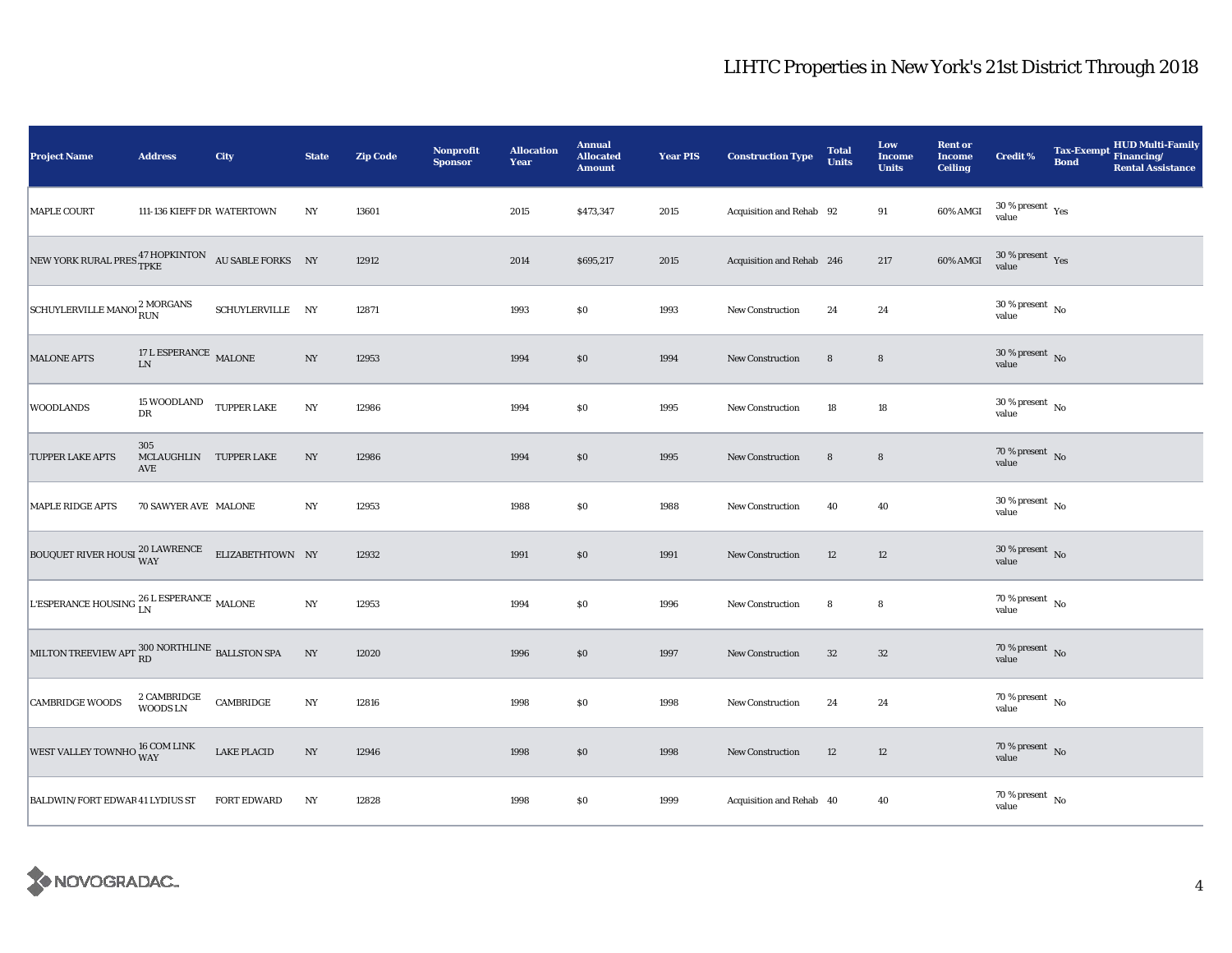| <b>Project Name</b>                                                           | <b>Address</b>                       | City               | <b>State</b>     | <b>Zip Code</b> | <b>Nonprofit</b><br><b>Sponsor</b> | <b>Allocation</b><br>Year | <b>Annual</b><br><b>Allocated</b><br><b>Amount</b> | <b>Year PIS</b> | <b>Construction Type</b>  | <b>Total</b><br><b>Units</b> | Low<br><b>Income</b><br><b>Units</b> | <b>Rent or</b><br><b>Income</b><br><b>Ceiling</b> | <b>Credit %</b>                      | <b>Bond</b> | Tax-Exempt HUD Multi-Family<br><b>Rental Assistance</b> |
|-------------------------------------------------------------------------------|--------------------------------------|--------------------|------------------|-----------------|------------------------------------|---------------------------|----------------------------------------------------|-----------------|---------------------------|------------------------------|--------------------------------------|---------------------------------------------------|--------------------------------------|-------------|---------------------------------------------------------|
| <b>MAPLE COURT</b>                                                            | 111-136 KIEFF DR WATERTOWN           |                    | NY               | 13601           |                                    | 2015                      | \$473,347                                          | 2015            | Acquisition and Rehab 92  |                              | 91                                   | 60% AMGI                                          | $30\,\%$ present $\,$ Yes value      |             |                                                         |
| NEW YORK RURAL PRES TPKE AT HOPKINTON AU SABLE FORKS NY                       |                                      |                    |                  | 12912           |                                    | 2014                      | \$695,217                                          | 2015            | Acquisition and Rehab 246 |                              | 217                                  | $60\%$ AMGI                                       | $30\,\%$ present $\,$ Yes value      |             |                                                         |
| SCHUYLERVILLE MANOI <sup>2</sup> MORGANS                                      |                                      | SCHUYLERVILLE NY   |                  | 12871           |                                    | 1993                      | \$0                                                | 1993            | <b>New Construction</b>   | 24                           | 24                                   |                                                   | $30$ % present $\,$ No $\,$<br>value |             |                                                         |
| <b>MALONE APTS</b>                                                            | $17$ L ESPERANCE $\,$ MALONE $\,$ LN |                    | $_{\mathrm{NY}}$ | 12953           |                                    | 1994                      | $\$0$                                              | 1994            | <b>New Construction</b>   | $\bf8$                       | $\bf8$                               |                                                   | $30\,\%$ present $\,$ No value       |             |                                                         |
| <b>WOODLANDS</b>                                                              | 15 WOODLAND TUPPER LAKE<br>DR        |                    | $_{\mathrm{NY}}$ | 12986           |                                    | 1994                      | $\$0$                                              | 1995            | <b>New Construction</b>   | 18                           | 18                                   |                                                   | $30\,\%$ present $\,$ No value       |             |                                                         |
| TUPPER LAKE APTS                                                              | 305<br>MCLAUGHLIN TUPPER LAKE<br>AVE |                    | NY               | 12986           |                                    | 1994                      | \$0                                                | 1995            | New Construction          | $\bf8$                       | 8                                    |                                                   | $70\,\%$ present $\,$ No value       |             |                                                         |
| <b>MAPLE RIDGE APTS</b>                                                       | 70 SAWYER AVE MALONE                 |                    | N <sub>Y</sub>   | 12953           |                                    | 1988                      | \$0                                                | 1988            | <b>New Construction</b>   | 40                           | 40                                   |                                                   | $30\,\%$ present $\,$ No value       |             |                                                         |
| BOUQUET RIVER HOUSI $\frac{20 \text{ LAWRENCE}}{\text{WAY}}$ ELIZABETHTOWN NY |                                      |                    |                  | 12932           |                                    | 1991                      | \$0                                                | 1991            | <b>New Construction</b>   | 12                           | 12                                   |                                                   | $30\,\%$ present $\,$ No value       |             |                                                         |
| L'ESPERANCE HOUSING $^{26}_{\rm LN}$ LSPERANCE MALONE                         |                                      |                    | $_{\mathrm{NY}}$ | 12953           |                                    | 1994                      | \$0                                                | 1996            | New Construction          | 8                            | 8                                    |                                                   | 70 % present $\hbox{~No}$<br>value   |             |                                                         |
| MILTON TREEVIEW APT RD NORTHLINE BALLSTON SPA                                 |                                      |                    | $_{\mathrm{NY}}$ | 12020           |                                    | 1996                      | \$0                                                | 1997            | <b>New Construction</b>   | 32                           | $32\,$                               |                                                   | $70\,\%$ present $\,$ No value       |             |                                                         |
| <b>CAMBRIDGE WOODS</b>                                                        | 2 CAMBRIDGE<br><b>WOODS LN</b>       | CAMBRIDGE          | $_{\mathrm{NY}}$ | 12816           |                                    | 1998                      | \$0                                                | 1998            | New Construction          | 24                           | 24                                   |                                                   | 70 % present $\hbox{~No}$<br>value   |             |                                                         |
| WEST VALLEY TOWNHO 16 COM LINK                                                |                                      | <b>LAKE PLACID</b> | $_{\mathrm{NY}}$ | 12946           |                                    | 1998                      | \$0                                                | 1998            | New Construction          | 12                           | 12                                   |                                                   | $70\,\%$ present $\,$ No value       |             |                                                         |
| BALDWIN/FORT EDWAR 41 LYDIUS ST                                               |                                      | <b>FORT EDWARD</b> | NY               | 12828           |                                    | 1998                      | \$0                                                | 1999            | Acquisition and Rehab 40  |                              | 40                                   |                                                   | $70\,\%$ present $\,$ No value       |             |                                                         |

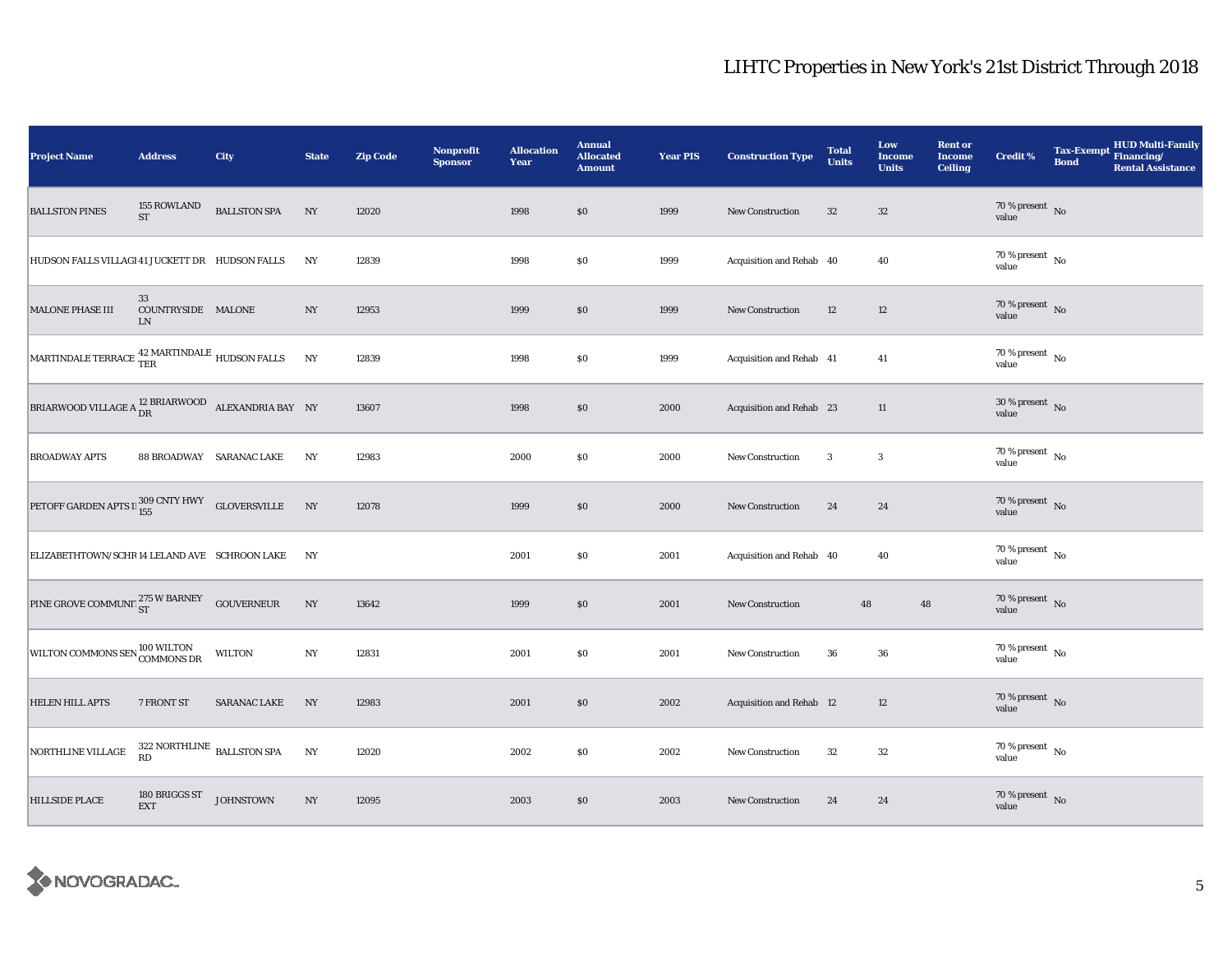| <b>Project Name</b>                                                               | <b>Address</b>                        | City                     | <b>State</b>     | <b>Zip Code</b> | Nonprofit<br><b>Sponsor</b> | <b>Allocation</b><br>Year | <b>Annual</b><br><b>Allocated</b><br><b>Amount</b> | <b>Year PIS</b> | <b>Construction Type</b> | <b>Total</b><br><b>Units</b> | Low<br><b>Income</b><br><b>Units</b> | <b>Rent or</b><br><b>Income</b><br><b>Ceiling</b> | <b>Credit %</b>                      | <b>Bond</b> | Tax-Exempt HUD Multi-Family<br><b>Rental Assistance</b> |
|-----------------------------------------------------------------------------------|---------------------------------------|--------------------------|------------------|-----------------|-----------------------------|---------------------------|----------------------------------------------------|-----------------|--------------------------|------------------------------|--------------------------------------|---------------------------------------------------|--------------------------------------|-------------|---------------------------------------------------------|
| <b>BALLSTON PINES</b>                                                             | 155 ROWLAND<br>$\operatorname{ST}$    | <b>BALLSTON SPA</b>      | NY               | 12020           |                             | 1998                      | \$0                                                | 1999            | <b>New Construction</b>  | 32                           | $32\,$                               |                                                   | $70\,\%$ present $\,$ No value       |             |                                                         |
| HUDSON FALLS VILLAGI 41 JUCKETT DR HUDSON FALLS                                   |                                       |                          | NY               | 12839           |                             | 1998                      | $\$0$                                              | 1999            | Acquisition and Rehab 40 |                              | 40                                   |                                                   | 70 % present $\,$ No $\,$<br>value   |             |                                                         |
| <b>MALONE PHASE III</b>                                                           | 33<br>COUNTRYSIDE MALONE<br>LN        |                          | NY               | 12953           |                             | 1999                      | \$0                                                | 1999            | New Construction         | 12                           | 12                                   |                                                   | $70\,\%$ present $\,$ No value       |             |                                                         |
| MARTINDALE TERRACE $\frac{\text{42} \text{ MARTINDALE}}{\text{TER}}$ HUDSON FALLS |                                       |                          | NY               | 12839           |                             | 1998                      | <b>SO</b>                                          | 1999            | Acquisition and Rehab 41 |                              | 41                                   |                                                   | $70\,\%$ present $\,$ No value       |             |                                                         |
| BRIARWOOD VILLAGE A $^{12}_{\text{DR}}$ BRIARWOOD ALEXANDRIA BAY NY               |                                       |                          |                  | 13607           |                             | 1998                      | \$0\$                                              | 2000            | Acquisition and Rehab 23 |                              | 11                                   |                                                   | $30\,\%$ present $\,$ No value       |             |                                                         |
| <b>BROADWAY APTS</b>                                                              |                                       | 88 BROADWAY SARANAC LAKE | NY               | 12983           |                             | 2000                      | \$0                                                | 2000            | New Construction         | 3                            | $\boldsymbol{3}$                     |                                                   | $70$ % present $\,$ No $\,$<br>value |             |                                                         |
| PETOFF GARDEN APTS $\Gamma_{155}^{309}$ CNTY HWY GLOVERSVILLE                     |                                       |                          | NY               | 12078           |                             | 1999                      | S <sub>0</sub>                                     | 2000            | <b>New Construction</b>  | 24                           | 24                                   |                                                   | $70\,\%$ present $\,$ No value       |             |                                                         |
| ELIZABETHTOWN/SCHR 14 LELAND AVE SCHROON LAKE                                     |                                       |                          | NY               |                 |                             | 2001                      | \$0                                                | 2001            | Acquisition and Rehab 40 |                              | 40                                   |                                                   | $70\,\%$ present $\,$ No value       |             |                                                         |
| PINE GROVE COMMUNIT ST W BARNEY GOUVERNEUR                                        |                                       |                          | $_{\mathrm{NY}}$ | 13642           |                             | 1999                      | \$0\$                                              | 2001            | <b>New Construction</b>  | 48                           | 48                                   |                                                   | $70\,\%$ present $\,$ No value       |             |                                                         |
| WILTON COMMONS SEN 100 WILTON                                                     |                                       | <b>WILTON</b>            | $_{\mathrm{NY}}$ | 12831           |                             | 2001                      | $\$0$                                              | 2001            | <b>New Construction</b>  | 36                           | 36                                   |                                                   | $70\,\%$ present $\,$ No value       |             |                                                         |
| <b>HELEN HILL APTS</b>                                                            | 7 FRONT ST                            | <b>SARANAC LAKE</b>      | NY               | 12983           |                             | 2001                      | \$0\$                                              | 2002            | Acquisition and Rehab 12 |                              | 12                                   |                                                   | $70\,\%$ present $\,$ No value       |             |                                                         |
| NORTHLINE VILLAGE                                                                 | $322$ NORTHLINE $\,$ BALLSTON SPA RD  |                          | $_{\mathrm{NY}}$ | 12020           |                             | 2002                      | \$0                                                | 2002            | <b>New Construction</b>  | 32                           | 32                                   |                                                   | $70\,\%$ present $\,$ No value       |             |                                                         |
| <b>HILLSIDE PLACE</b>                                                             | 180 BRIGGS ST JOHNSTOWN<br><b>EXT</b> |                          | $_{\mathrm{NY}}$ | 12095           |                             | 2003                      | \$0\$                                              | 2003            | <b>New Construction</b>  | 24                           | 24                                   |                                                   | $70$ % present $\,$ No $\,$<br>value |             |                                                         |

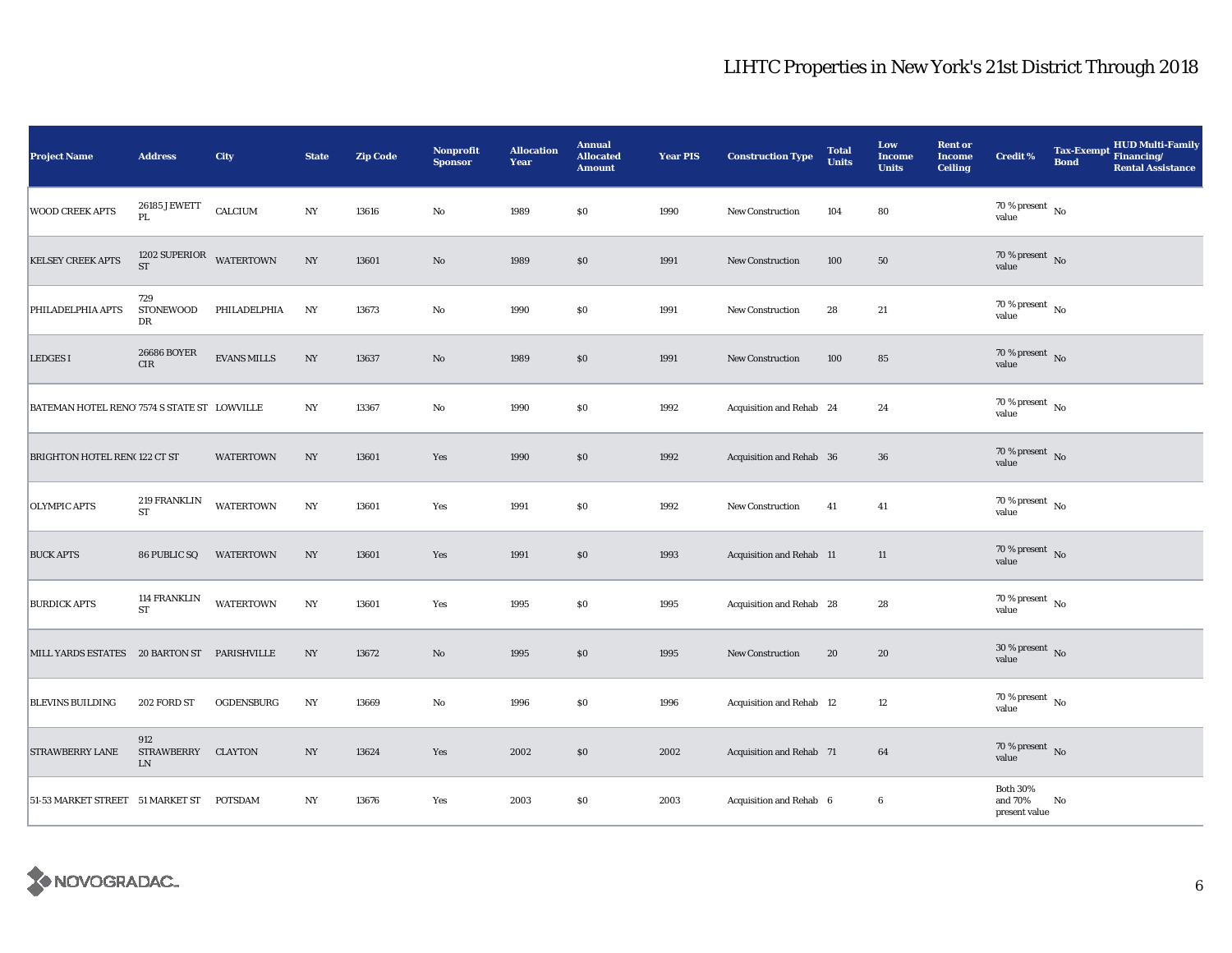| <b>Project Name</b>                         | <b>Address</b>                         | City               | <b>State</b>     | <b>Zip Code</b> | <b>Nonprofit</b><br><b>Sponsor</b> | <b>Allocation</b><br><b>Year</b> | <b>Annual</b><br><b>Allocated</b><br><b>Amount</b> | <b>Year PIS</b> | <b>Construction Type</b> | <b>Total</b><br><b>Units</b> | Low<br><b>Income</b><br><b>Units</b> | <b>Rent or</b><br><b>Income</b><br><b>Ceiling</b> | <b>Credit %</b>                             | <b>Bond</b> | Tax-Exempt HUD Multi-Family<br><b>Rental Assistance</b> |
|---------------------------------------------|----------------------------------------|--------------------|------------------|-----------------|------------------------------------|----------------------------------|----------------------------------------------------|-----------------|--------------------------|------------------------------|--------------------------------------|---------------------------------------------------|---------------------------------------------|-------------|---------------------------------------------------------|
| <b>WOOD CREEK APTS</b>                      | 26185 JEWETT<br>PL.                    | CALCIUM            | $_{\mathrm{NY}}$ | 13616           | $\rm No$                           | 1989                             | $\$0$                                              | 1990            | New Construction         | 104                          | 80                                   |                                                   | $70\,\%$ present $\,$ No value              |             |                                                         |
| <b>KELSEY CREEK APTS</b>                    | 1202 SUPERIOR WATERTOWN<br>ST          |                    | NY               | 13601           | No                                 | 1989                             | $\$0$                                              | 1991            | New Construction         | 100                          | 50                                   |                                                   | 70 % present $\,$ No $\,$<br>value          |             |                                                         |
| PHILADELPHIA APTS                           | 729<br>STONEWOOD<br>DR                 | PHILADELPHIA       | NY               | 13673           | No                                 | 1990                             | \$0                                                | 1991            | New Construction         | 28                           | 21                                   |                                                   | $70\,\%$ present $\,$ No $\,$<br>value      |             |                                                         |
| <b>LEDGES I</b>                             | <b>26686 BOYER</b><br>$\rm CIR$        | <b>EVANS MILLS</b> | N <sub>Y</sub>   | 13637           | No                                 | 1989                             | \$0\$                                              | 1991            | New Construction         | 100                          | 85                                   |                                                   | $70\,\%$ present $${\rm No}$$ value         |             |                                                         |
| BATEMAN HOTEL RENO 7574 S STATE ST LOWVILLE |                                        |                    | NY               | 13367           | $\rm No$                           | 1990                             | $\$0$                                              | 1992            | Acquisition and Rehab 24 |                              | 24                                   |                                                   | $70\,\%$ present $\,$ No value              |             |                                                         |
| BRIGHTON HOTEL REN(122 CT ST                |                                        | <b>WATERTOWN</b>   | NY               | 13601           | Yes                                | 1990                             | $\$0$                                              | 1992            | Acquisition and Rehab 36 |                              | 36                                   |                                                   | $70\%$ present No<br>value                  |             |                                                         |
| <b>OLYMPIC APTS</b>                         | 219 FRANKLIN<br><b>ST</b>              | <b>WATERTOWN</b>   | N <sub>Y</sub>   | 13601           | Yes                                | 1991                             | $\$0$                                              | 1992            | <b>New Construction</b>  | 41                           | 41                                   |                                                   | $70$ % present $\,$ No $\,$<br>value        |             |                                                         |
| <b>BUCK APTS</b>                            | 86 PUBLIC SQ                           | <b>WATERTOWN</b>   | NY               | 13601           | Yes                                | 1991                             | \$0                                                | 1993            | Acquisition and Rehab 11 |                              | 11                                   |                                                   | 70 % present $\bar{N}$ o<br>value           |             |                                                         |
| <b>BURDICK APTS</b>                         | <b>114 FRANKLIN</b><br>${\rm ST}$      | <b>WATERTOWN</b>   | N <sub>Y</sub>   | 13601           | Yes                                | 1995                             | $\$0$                                              | 1995            | Acquisition and Rehab 28 |                              | 28                                   |                                                   | $70\,\%$ present $\,$ No value              |             |                                                         |
| MILL YARDS ESTATES 20 BARTON ST PARISHVILLE |                                        |                    | $_{\mathrm{NY}}$ | 13672           | $\rm No$                           | 1995                             | \$0                                                | 1995            | <b>New Construction</b>  | 20                           | 20                                   |                                                   | 30 % present $\,$ No $\,$<br>value          |             |                                                         |
| <b>BLEVINS BUILDING</b>                     | 202 FORD ST                            | OGDENSBURG         | NY               | 13669           | $\rm No$                           | 1996                             | \$0                                                | 1996            | Acquisition and Rehab 12 |                              | 12                                   |                                                   | $70$ % present $\,$ No $\,$<br>value        |             |                                                         |
| <b>STRAWBERRY LANE</b>                      | 912<br>STRAWBERRY CLAYTON<br><b>LN</b> |                    | NY               | 13624           | Yes                                | 2002                             | \$0\$                                              | 2002            | Acquisition and Rehab 71 |                              | 64                                   |                                                   | 70 % present $\,$ No $\,$<br>value          |             |                                                         |
| 51-53 MARKET STREET 51 MARKET ST POTSDAM    |                                        |                    | NY               | 13676           | Yes                                | 2003                             | $\$0$                                              | 2003            | Acquisition and Rehab 6  |                              | $\boldsymbol{6}$                     |                                                   | <b>Both 30%</b><br>and 70%<br>present value | No          |                                                         |